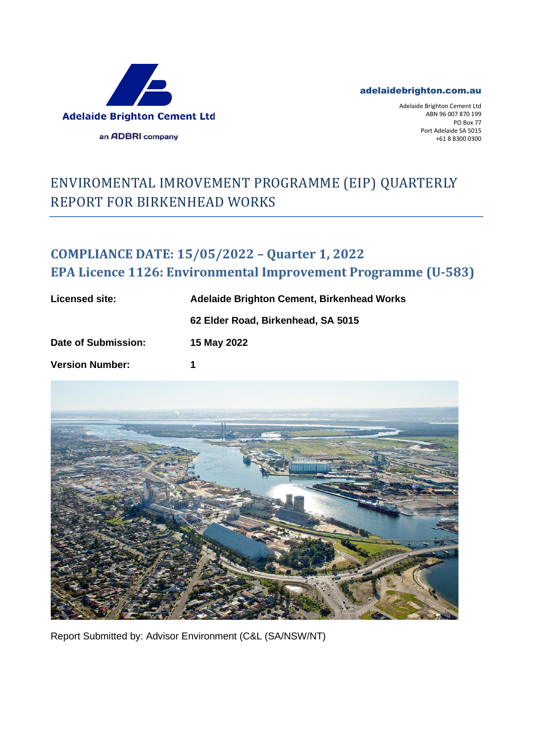

## adelaidebrighton.com.au

Adelaide Brighton Cement Ltd ABN 96 007 870 199 PO Box 77 Port Adelaide SA 5015 +61 8 8300 0300

## ENVIROMENTAL IMROVEMENT PROGRAMME (EIP) QUARTERLY REPORT FOR BIRKENHEAD WORKS

## **COMPLIANCE DATE: 15/05/2022 – Quarter 1, 2022 EPA Licence 1126: Environmental Improvement Programme (U-583)**

| Licensed site:         | <b>Adelaide Brighton Cement, Birkenhead Works</b> |
|------------------------|---------------------------------------------------|
|                        | 62 Elder Road, Birkenhead, SA 5015                |
| Date of Submission:    | 15 May 2022                                       |
| <b>Version Number:</b> |                                                   |



Report Submitted by: Advisor Environment (C&L (SA/NSW/NT)